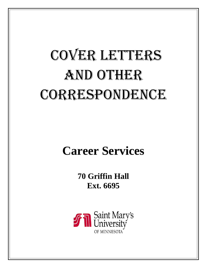# COVER LETTERS AND OTHER CORRESPONDENCE

# **Career Services**

**70 Griffin Hall Ext. 6695**

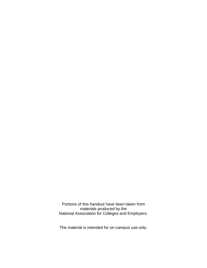Portions of this handout have been taken from materials produced by the National Association for Colleges and Employers.

The material is intended for on-campus use only.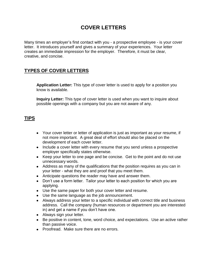# **COVER LETTERS**

Many times an employer's first contact with you - a prospective employee - is your cover letter. It introduces yourself and gives a summary of your experiences. Your letter creates an immediate impression for the employer. Therefore, it must be clear, creative, and concise.

# **TYPES OF COVER LETTERS**

**Application Letter:** This type of cover letter is used to apply for a position you know is available.

**Inquiry Letter:** This type of cover letter is used when you want to inquire about possible openings with a company but you are not aware of any.

## **TIPS**

- Your cover letter or letter of application is just as important as your resume, if not more important. A great deal of effort should also be placed on the development of each cover letter.
- Include a cover letter with every resume that you send unless a prospective employer specifically states otherwise.
- Keep your letter to one page and be concise. Get to the point and do not use unnecessary words.
- Address as many of the qualifications that the position requires as you can in your letter - what they are and proof that you meet them.
- Anticipate questions the reader may have and answer them.
- Don't use a form letter. Tailor your letter to each position for which you are applying.
- Use the same paper for both your cover letter and resume.
- Use the same language as the job announcement.
- Always address your letter to a specific individual with correct title and business address. Call the company (human resources or department you are interested in) and get a name if you don't have one.
- Always sign your letter.
- Be positive in content, tone, word choice, and expectations. Use an active rather than passive voice.
- Proofread. Make sure there are no errors.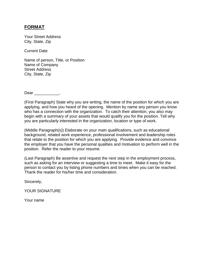#### **FORMAT**

Your Street Address City, State, Zip

Current Date

Name of person, Title, or Position Name of Company Street Address City, State, Zip

Dear \_\_\_\_\_\_\_\_,

(First Paragraph) State why you are writing, the name of the position for which you are applying, and how you heard of the opening. Mention by name any person you know who has a connection with the organization. To catch their attention, you also may begin with a summary of your assets that would qualify you for the position. Tell why you are particularly interested in the organization, location or type of work.

(Middle Paragraph(s)) Elaborate on your main qualifications, such as educational background, related work experience, professional involvement and leadership roles that relate to the position for which you are applying. Provide evidence and convince the employer that you have the personal qualities and motivation to perform well in the position. Refer the reader to your resume.

(Last Paragraph) Be assertive and request the next step in the employment process, such as asking for an interview or suggesting a time to meet. Make it easy for the person to contact you by listing phone numbers and times when you can be reached. Thank the reader for his/her time and consideration.

Sincerely,

YOUR SIGNATURE

Your name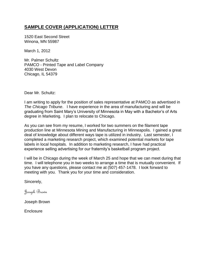#### **SAMPLE COVER (APPLICATION) LETTER**

1520 East Second Street Winona, MN 55987

March 1, 2012

Mr. Palmer Schultz PAMCO - Printed Tape and Label Company 4030 West Devon Chicago, IL 54379

Dear Mr. Schultz:

I am writing to apply for the position of sales representative at PAMCO as advertised in *The Chicago Tribune*. I have experience in the area of manufacturing and will be graduating from Saint Mary's University of Minnesota in May with a Bachelor's of Arts degree in Marketing. I plan to relocate to Chicago.

As you can see from my resume, I worked for two summers on the filament tape production line at Minnesota Mining and Manufacturing in Minneapolis. I gained a great deal of knowledge about different ways tape is utilized in industry. Last semester, I completed a marketing research project, which examined potential markets for tape labels in local hospitals. In addition to marketing research, I have had practical experience selling advertising for our fraternity's basketball program project.

I will be in Chicago during the week of March 25 and hope that we can meet during that time. I will telephone you in two weeks to arrange a time that is mutually convenient. If you have any questions, please contact me at (507) 457-1478. I look forward to meeting with you. Thank you for your time and consideration.

Sincerely,

Joseph Brown

Joseph Brown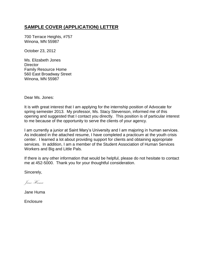#### **SAMPLE COVER (APPLICATION) LETTER**

700 Terrace Heights, #757 Winona, MN 55987

October 23, 2012

Ms. Elizabeth Jones **Director** Family Resource Home 560 East Broadway Street Winona, MN 55987

Dear Ms. Jones:

It is with great interest that I am applying for the internship position of Advocate for spring semester 2013. My professor, Ms. Stacy Stevenson, informed me of this opening and suggested that I contact you directly. This position is of particular interest to me because of the opportunity to serve the clients of your agency.

I am currently a junior at Saint Mary's University and I am majoring in human services. As indicated in the attached resume, I have completed a practicum at the youth crisis center. I learned a lot about providing support for clients and obtaining appropriate services. In addition, I am a member of the Student Association of Human Services Workers and Big and Little Pals.

If there is any other information that would be helpful, please do not hesitate to contact me at 452-5000. Thank you for your thoughtful consideration.

Sincerely,

Jane Huma

Jane Huma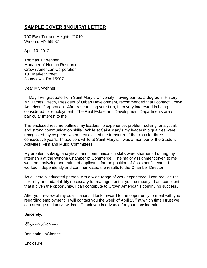## **SAMPLE COVER (INQUIRY) LETTER**

700 East Terrace Heights #1010 Winona, MN 55987

April 10, 2012

Thomas J. Wehner Manager of Human Resources Crown American Corporation 131 Market Street Johnstown, PA 15907

Dear Mr. Wehner:

In May I will graduate from Saint Mary's University, having earned a degree in History. Mr. James Czech, President of Urban Development, recommended that I contact Crown American Corporation. After researching your firm, I am very interested in being considered for employment. The Real Estate and Development Departments are of particular interest to me.

The enclosed resume outlines my leadership experience, problem-solving, analytical, and strong communication skills. While at Saint Mary's my leadership qualities were recognized my by peers when they elected me treasurer of the class for three consecutive years. In addition, while at Saint Mary's, I was a member of the Student Activities, Film and Music Committees.

My problem solving, analytical, and communication skills were sharpened during my internship at the Winona Chamber of Commerce. The major assignment given to me was the analyzing and rating of applicants for the position of Assistant Director. I worked independently and communicated the results to the Chamber Director.

As a liberally educated person with a wide range of work experience, I can provide the flexibility and adaptability necessary for management at your company. I am confident that if given the opportunity, I can contribute to Crown American's continuing success.

After your review of my qualifications, I look forward to the opportunity to meet with you regarding employment. I will contact you the week of April 25<sup>th</sup> at which time I trust we can arrange an interview time. Thank you in advance for your consideration.

Sincerely,

Benjamin LaChance

Benjamin LaChance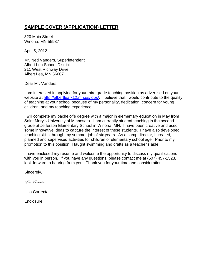#### **SAMPLE COVER (APPLICATION) LETTER**

320 Main Street Winona, MN 55987

April 5, 2012

Mr. Ned Vanders, Superintendent Albert Lea School District 211 West Richway Drive Albert Lea, MN 56007

Dear Mr. Vanders:

I am interested in applying for your third grade teaching position as advertised on your website at [http://albertlea.k12.mn.us/jobs/.](http://albertlea.k12.mn.us/jobs/) I believe that I would contribute to the quality of teaching at your school because of my personality, dedication, concern for young children, and my teaching experience.

I will complete my bachelor's degree with a major in elementary education in May from Saint Mary's University of Minnesota. I am currently student teaching in the second grade at Jefferson Elementary School in Winona, MN. I have been creative and used some innovative ideas to capture the interest of these students. I have also developed teaching skills through my summer job of six years. As a camp director, I created, planned and supervised activities for children of elementary school age. Prior to my promotion to this position, I taught swimming and crafts as a teacher's aide.

I have enclosed my resume and welcome the opportunity to discuss my qualifications with you in person. If you have any questions, please contact me at (507) 457-1523. I look forward to hearing from you. Thank you for your time and consideration.

Sincerely,

*Lisa Correcta*

Lisa Correcta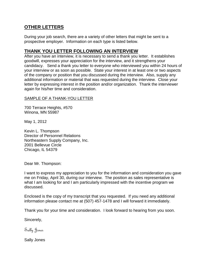# **OTHER LETTERS**

During your job search, there are a variety of other letters that might be sent to a prospective employer. Information on each type is listed below.

#### **THANK YOU LETTER FOLLOWING AN INTERVIEW**

After you have an interview, it is necessary to send a thank you letter. It establishes goodwill, expresses your appreciation for the interview, and it strengthens your candidacy. Send a thank you letter to everyone who interviewed you within 24 hours of your interview or as soon as possible. State your interest in at least one or two aspects of the company or position that you discussed during the interview. Also, supply any additional information or material that was requested during the interview. Close your letter by expressing interest in the position and/or organization. Thank the interviewer again for his/her time and consideration.

#### SAMPLE OF A THANK-YOU LETTER

700 Terrace Heights, #570 Winona, MN 55987

May 1, 2012

Kevin L. Thompson Director of Personnel Relations Northeastern Supply Company, Inc. 2001 Bellevue Circle Chicago, IL 54379

Dear Mr. Thompson:

I want to express my appreciation to you for the information and consideration you gave me on Friday, April 30, during our interview. The position as sales representative is what I am looking for and I am particularly impressed with the incentive program we discussed.

Enclosed is the copy of my transcript that you requested. If you need any additional information please contact me at (507) 457-1478 and I will forward it immediately.

Thank you for your time and consideration. I look forward to hearing from you soon.

Sincerely,

Sally Jones

Sally Jones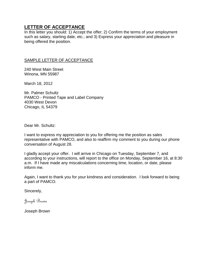#### **LETTER OF ACCEPTANCE**

In this letter you should: 1) Accept the offer; 2) Confirm the terms of your employment such as salary, starting date, etc.; and 3) Express your appreciation and pleasure in being offered the position.

#### SAMPLE LETTER OF ACCEPTANCE

240 West Main Street Winona, MN 55987

March 18, 2012

Mr. Palmer Schultz PAMCO - Printed Tape and Label Company 4030 West Devon Chicago, IL 54379

Dear Mr. Schultz:

I want to express my appreciation to you for offering me the position as sales representative with PAMCO, and also to reaffirm my comment to you during our phone conversation of August 28.

I gladly accept your offer. I will arrive in Chicago on Tuesday, September 7, and according to your instructions, will report to the office on Monday, September 16, at 8:30 a.m. If I have made any miscalculations concerning time, location, or date, please inform me.

Again, I want to thank you for your kindness and consideration. I look forward to being a part of PAMCO.

Sincerely,

Joseph Brown

Joseph Brown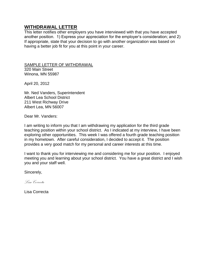#### **WITHDRAWAL LETTER**

This letter notifies other employers you have interviewed with that you have accepted another position. 1) Express your appreciation for the employer's consideration; and 2) If appropriate, state that your decision to go with another organization was based on having a better job fit for you at this point in your career.

SAMPLE LETTER OF WITHDRAWAL 320 Main Street Winona, MN 55987

April 20, 2012

Mr. Ned Vanders, Superintendent Albert Lea School District 211 West Richway Drive Albert Lea, MN 56007

Dear Mr. Vanders:

I am writing to inform you that I am withdrawing my application for the third grade teaching position within your school district. As I indicated at my interview, I have been exploring other opportunities. This week I was offered a fourth grade teaching position in my hometown. After careful consideration, I decided to accept it. The position provides a very good match for my personal and career interests at this time.

I want to thank you for interviewing me and considering me for your position. I enjoyed meeting you and learning about your school district. You have a great district and I wish you and your staff well.

Sincerely,

*Lisa Correcta*

Lisa Correcta